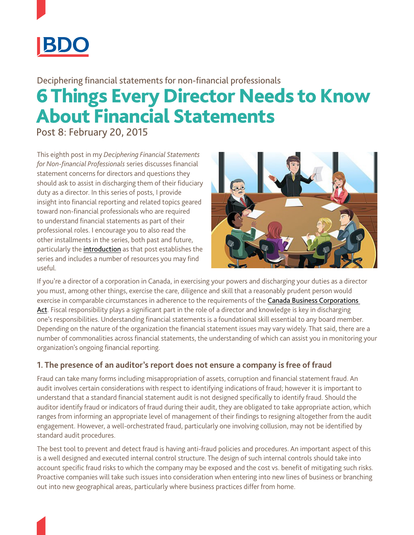

# 6 Things Every Director Needs to Know About Financial Statements Deciphering financial statements for non-financial professionals

Post 8: February 20, 2015

This eighth post in my *Deciphering Financial Statements for Non-financial Professionals* series discusses financial statement concerns for directors and questions they should ask to assist in discharging them of their fiduciary duty as a director. In this series of posts, I provide insight into financial reporting and related topics geared toward non-financial professionals who are required to understand financial statements as part of their professional roles. I encourage you to also read the other installments in the series, both past and future, particularly the [introduction](https://www.linkedin.com/pulse/20140725174318-11636973-deciphering-financial-statements-for-non-financial-professionals-post-1?trk=mp-reader-card) as that post establishes the series and includes a number of resources you may find useful.



If you're a director of a corporation in Canada, in exercising your powers and discharging your duties as a director you must, among other things, exercise the care, diligence and skill that a reasonably prudent person would exercise in comparable circumstances in adherence to the requirements of the Canada Business Corporations [Act](http://laws-lois.justice.gc.ca/eng/acts/C-44/index.html). Fiscal responsibility plays a significant part in the role of a director and knowledge is key in discharging one's responsibilities. Understanding financial statements is a foundational skill essential to any board member. Depending on the nature of the organization the financial statement issues may vary widely. That said, there are a number of commonalities across financial statements, the understanding of which can assist you in monitoring your organization's ongoing financial reporting.

# **1. The presence of an auditor's report does not ensure a company is free of fraud**

Fraud can take many forms including misappropriation of assets, corruption and financial statement fraud. An audit involves certain considerations with respect to identifying indications of fraud; however it is important to understand that a standard financial statement audit is not designed specifically to identify fraud. Should the auditor identify fraud or indicators of fraud during their audit, they are obligated to take appropriate action, which ranges from informing an appropriate level of management of their findings to resigning altogether from the audit engagement. However, a well-orchestrated fraud, particularly one involving collusion, may not be identified by standard audit procedures.

The best tool to prevent and detect fraud is having anti-fraud policies and procedures. An important aspect of this is a well designed and executed internal control structure. The design of such internal controls should take into account specific fraud risks to which the company may be exposed and the cost vs. benefit of mitigating such risks. Proactive companies will take such issues into consideration when entering into new lines of business or branching out into new geographical areas, particularly where business practices differ from home.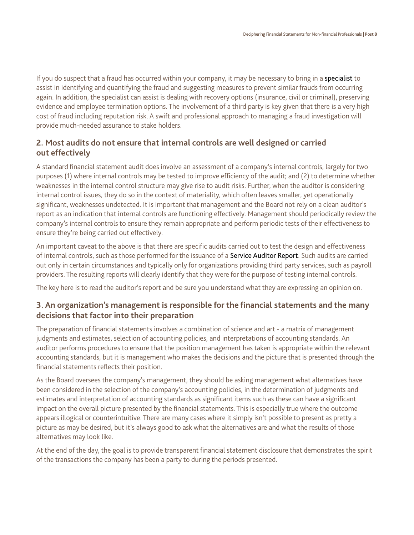If you do suspect that a fraud has occurred within your company, it may be necessary to bring in a [specialist](http://www.bdo.ca/en/Services/Advisory/Financial-Advisory/pages/Investigative-and-Forensic-Accounting.aspx) to assist in identifying and quantifying the fraud and suggesting measures to prevent similar frauds from occurring again. In addition, the specialist can assist is dealing with recovery options (insurance, civil or criminal), preserving evidence and employee termination options. The involvement of a third party is key given that there is a very high cost of fraud including reputation risk. A swift and professional approach to managing a fraud investigation will provide much-needed assurance to stake holders.

# **2. Most audits do not ensure that internal controls are well designed or carried out effectively**

A standard financial statement audit does involve an assessment of a company's internal controls, largely for two purposes (1) where internal controls may be tested to improve efficiency of the audit; and (2) to determine whether weaknesses in the internal control structure may give rise to audit risks. Further, when the auditor is considering internal control issues, they do so in the context of materiality, which often leaves smaller, yet operationally significant, weaknesses undetected. It is important that management and the Board not rely on a clean auditor's report as an indication that internal controls are functioning effectively. Management should periodically review the company's internal controls to ensure they remain appropriate and perform periodic tests of their effectiveness to ensure they're being carried out effectively.

An important caveat to the above is that there are specific audits carried out to test the design and effectiveness of internal controls, such as those performed for the issuance of a [Service Auditor Report](http://www.bdo.ca/en/services/assurance-and-accounting/assurance/pages/service-auditors-report.aspx). Such audits are carried out only in certain circumstances and typically only for organizations providing third party services, such as payroll providers. The resulting reports will clearly identify that they were for the purpose of testing internal controls.

The key here is to read the auditor's report and be sure you understand what they are expressing an opinion on.

# **3. An organization's management is responsible for the financial statements and the many decisions that factor into their preparation**

The preparation of financial statements involves a combination of science and art - a matrix of management judgments and estimates, selection of accounting policies, and interpretations of accounting standards. An auditor performs procedures to ensure that the position management has taken is appropriate within the relevant accounting standards, but it is management who makes the decisions and the picture that is presented through the financial statements reflects their position.

As the Board oversees the company's management, they should be asking management what alternatives have been considered in the selection of the company's accounting policies, in the determination of judgments and estimates and interpretation of accounting standards as significant items such as these can have a significant impact on the overall picture presented by the financial statements. This is especially true where the outcome appears illogical or counterintuitive. There are many cases where it simply isn't possible to present as pretty a picture as may be desired, but it's always good to ask what the alternatives are and what the results of those alternatives may look like.

At the end of the day, the goal is to provide transparent financial statement disclosure that demonstrates the spirit of the transactions the company has been a party to during the periods presented.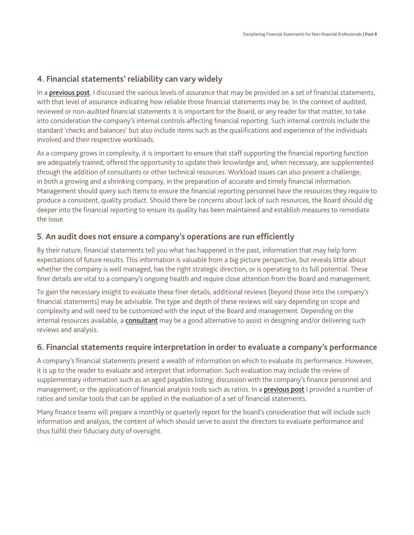### **4. Financial statements' reliability can vary widely**

In a [previous post](https://www.linkedin.com/pulse/20140725182427-11636973-deciphering-financial-statements-for-non-financial-professionals-post-2-how-reliable-are-these-financial-statements-anyway?trk=mp-reader-card), I discussed the various levels of assurance that may be provided on a set of financial statements, with that level of assurance indicating how reliable those financial statements may be. In the context of audited, reviewed or non-audited financial statements it is important for the Board, or any reader for that matter, to take into consideration the company's internal controls affecting financial reporting. Such internal controls include the standard 'checks and balances' but also include items such as the qualifications and experience of the individuals involved and their respective workloads.

As a company grows in complexity, it is important to ensure that staff supporting the financial reporting function are adequately trained, offered the opportunity to update their knowledge and, when necessary, are supplemented through the addition of consultants or other technical resources. Workload issues can also present a challenge, in both a growing and a shrinking company, in the preparation of accurate and timely financial information. Management should query such items to ensure the financial reporting personnel have the resources they require to produce a consistent, quality product. Should there be concerns about lack of such resources, the Board should dig deeper into the financial reporting to ensure its quality has been maintained and establish measures to remediate the issue.

#### **5. An audit does not ensure a company's operations are run efficiently**

By their nature, financial statements tell you what has happened in the past, information that may help form expectations of future results. This information is valuable from a big picture perspective, but reveals little about whether the company is well managed, has the right strategic direction, or is operating to its full potential. These finer details are vital to a company's ongoing health and require close attention from the Board and management.

To gain the necessary insight to evaluate these finer details, additional reviews (beyond those into the company's financial statements) may be advisable. The type and depth of these reviews will vary depending on scope and complexity and will need to be customized with the input of the Board and management. Depending on the internal resources available, a [consultant](http://www.bdo.ca/en/Services/Advisory/BDO-Consulting/Operations/pages/default.aspx) may be a good alternative to assist in designing and/or delivering such reviews and analysis.

#### **6. Financial statements require interpretation in order to evaluate a company's performance**

A company's financial statements present a wealth of information on which to evaluate its performance. However, it is up to the reader to evaluate and interpret that information. Such evaluation may include the review of supplementary information such as an aged payables listing; discussion with the company's finance personnel and management; or the application of financial analysis tools such as ratios. In a [previous post](https://www.linkedin.com/pulse/rationale-ratios-post-7-bryndon-kydd) I provided a number of ratios and similar tools that can be applied in the evaluation of a set of financial statements.

Many finance teams will prepare a monthly or quarterly report for the board's consideration that will include such information and analysis, the content of which should serve to assist the directors to evaluate performance and thus fulfill their fiduciary duty of oversight.